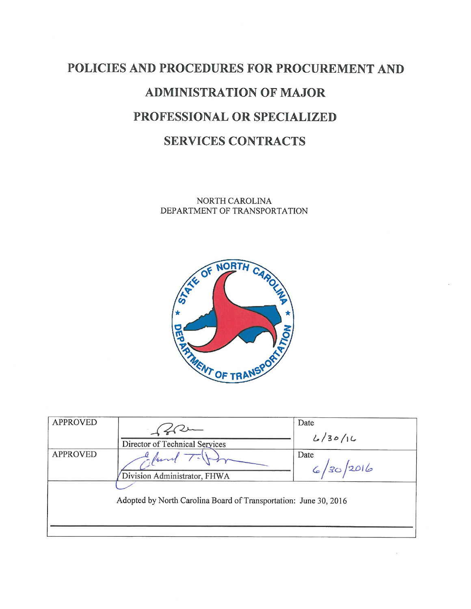# POLICIES AND PROCEDURES FOR PROCUREMENT AND **ADMINISTRATION OF MAJOR** PROFESSIONAL OR SPECIALIZED **SERVICES CONTRACTS**

NORTH CAROLINA DEPARTMENT OF TRANSPORTATION



| <b>APPROVED</b> | Director of Technical Services                                   | Date<br>4/30/14   |
|-----------------|------------------------------------------------------------------|-------------------|
| <b>APPROVED</b> | Division Administrator, FHWA                                     | Date<br>6/30/2016 |
|                 | Adopted by North Carolina Board of Transportation: June 30, 2016 |                   |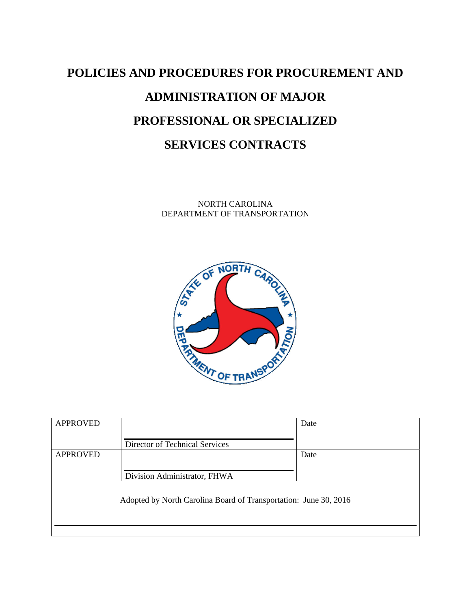# **POLICIES AND PROCEDURES FOR PROCUREMENT AND ADMINISTRATION OF MAJOR PROFESSIONAL OR SPECIALIZED SERVICES CONTRACTS**

NORTH CAROLINA DEPARTMENT OF TRANSPORTATION



| <b>APPROVED</b>                                                  |                                | Date |  |  |
|------------------------------------------------------------------|--------------------------------|------|--|--|
|                                                                  | Director of Technical Services |      |  |  |
| <b>APPROVED</b>                                                  |                                | Date |  |  |
|                                                                  | Division Administrator, FHWA   |      |  |  |
| Adopted by North Carolina Board of Transportation: June 30, 2016 |                                |      |  |  |
|                                                                  |                                |      |  |  |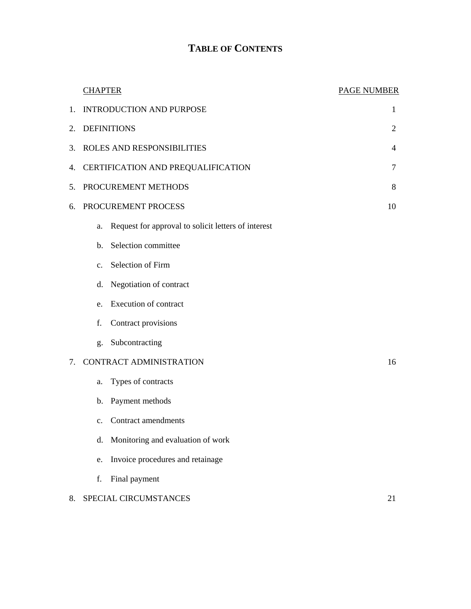# **TABLE OF CONTENTS**

|    | <b>CHAPTER</b>                                            | <b>PAGE NUMBER</b> |  |  |
|----|-----------------------------------------------------------|--------------------|--|--|
| 1. | <b>INTRODUCTION AND PURPOSE</b>                           |                    |  |  |
| 2. | <b>DEFINITIONS</b>                                        |                    |  |  |
| 3. | ROLES AND RESPONSIBILITIES                                |                    |  |  |
| 4. | CERTIFICATION AND PREQUALIFICATION                        |                    |  |  |
| 5. | PROCUREMENT METHODS                                       |                    |  |  |
| 6. | PROCUREMENT PROCESS                                       | 10                 |  |  |
|    | Request for approval to solicit letters of interest<br>a. |                    |  |  |
|    | Selection committee<br>b.                                 |                    |  |  |
|    | Selection of Firm<br>$\mathbf{c}$ .                       |                    |  |  |
|    | Negotiation of contract<br>d.                             |                    |  |  |
|    | <b>Execution of contract</b><br>e.                        |                    |  |  |
|    | Contract provisions<br>f.                                 |                    |  |  |
|    | Subcontracting<br>g.                                      |                    |  |  |
| 7. | <b>CONTRACT ADMINISTRATION</b>                            | 16                 |  |  |
|    | Types of contracts<br>a.                                  |                    |  |  |
|    | Payment methods<br>$\mathbf{b}$ .                         |                    |  |  |
|    | Contract amendments<br>$\mathbf{c}$ .                     |                    |  |  |
|    | d. Monitoring and evaluation of work                      |                    |  |  |
|    | Invoice procedures and retainage<br>e.                    |                    |  |  |
|    | Final payment<br>f.                                       |                    |  |  |
| 8. | SPECIAL CIRCUMSTANCES                                     | 21                 |  |  |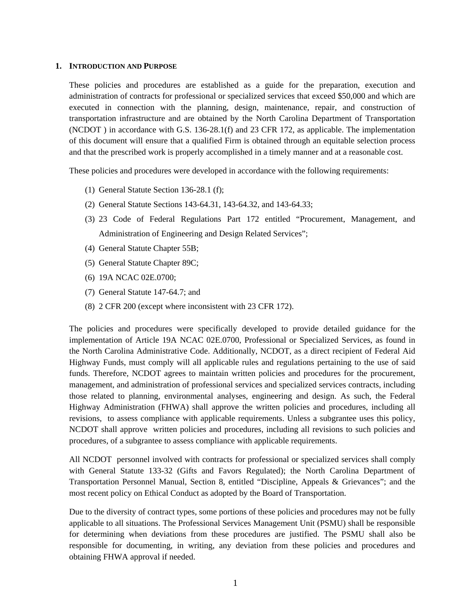#### **1. INTRODUCTION AND PURPOSE**

These policies and procedures are established as a guide for the preparation, execution and administration of contracts for professional or specialized services that exceed \$50,000 and which are executed in connection with the planning, design, maintenance, repair, and construction of transportation infrastructure and are obtained by the North Carolina Department of Transportation (NCDOT ) in accordance with G.S. 136-28.1(f) and 23 CFR 172, as applicable. The implementation of this document will ensure that a qualified Firm is obtained through an equitable selection process and that the prescribed work is properly accomplished in a timely manner and at a reasonable cost.

These policies and procedures were developed in accordance with the following requirements:

- (1) General Statute Section 136-28.1 (f);
- (2) General Statute Sections 143-64.31, 143-64.32, and 143-64.33;
- (3) 23 Code of Federal Regulations Part 172 entitled "Procurement, Management, and Administration of Engineering and Design Related Services";
- (4) General Statute Chapter 55B;
- (5) General Statute Chapter 89C;
- (6) 19A NCAC 02E.0700;
- (7) General Statute 147-64.7; and
- (8) 2 CFR 200 (except where inconsistent with 23 CFR 172).

The policies and procedures were specifically developed to provide detailed guidance for the implementation of Article 19A NCAC 02E.0700, Professional or Specialized Services, as found in the North Carolina Administrative Code. Additionally, NCDOT, as a direct recipient of Federal Aid Highway Funds, must comply will all applicable rules and regulations pertaining to the use of said funds. Therefore, NCDOT agrees to maintain written policies and procedures for the procurement, management, and administration of professional services and specialized services contracts, including those related to planning, environmental analyses, engineering and design. As such, the Federal Highway Administration (FHWA) shall approve the written policies and procedures, including all revisions, to assess compliance with applicable requirements. Unless a subgrantee uses this policy, NCDOT shall approve written policies and procedures, including all revisions to such policies and procedures, of a subgrantee to assess compliance with applicable requirements.

All NCDOT personnel involved with contracts for professional or specialized services shall comply with General Statute 133-32 (Gifts and Favors Regulated); the North Carolina Department of Transportation Personnel Manual, Section 8, entitled "Discipline, Appeals & Grievances"; and the most recent policy on Ethical Conduct as adopted by the Board of Transportation.

Due to the diversity of contract types, some portions of these policies and procedures may not be fully applicable to all situations. The Professional Services Management Unit (PSMU) shall be responsible for determining when deviations from these procedures are justified. The PSMU shall also be responsible for documenting, in writing, any deviation from these policies and procedures and obtaining FHWA approval if needed.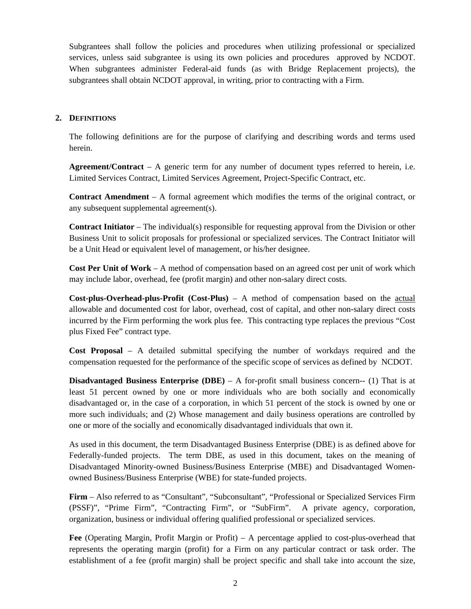Subgrantees shall follow the policies and procedures when utilizing professional or specialized services, unless said subgrantee is using its own policies and procedures approved by NCDOT. When subgrantees administer Federal-aid funds (as with Bridge Replacement projects), the subgrantees shall obtain NCDOT approval, in writing, prior to contracting with a Firm.

#### **2. DEFINITIONS**

The following definitions are for the purpose of clarifying and describing words and terms used herein.

**Agreement/Contract** – A generic term for any number of document types referred to herein, i.e. Limited Services Contract, Limited Services Agreement, Project-Specific Contract, etc.

**Contract Amendment** – A formal agreement which modifies the terms of the original contract, or any subsequent supplemental agreement(s).

**Contract Initiator** – The individual(s) responsible for requesting approval from the Division or other Business Unit to solicit proposals for professional or specialized services. The Contract Initiator will be a Unit Head or equivalent level of management, or his/her designee.

**Cost Per Unit of Work** – A method of compensation based on an agreed cost per unit of work which may include labor, overhead, fee (profit margin) and other non-salary direct costs.

**Cost-plus-Overhead-plus-Profit (Cost-Plus)** – A method of compensation based on the actual allowable and documented cost for labor, overhead, cost of capital, and other non-salary direct costs incurred by the Firm performing the work plus fee. This contracting type replaces the previous "Cost plus Fixed Fee" contract type.

**Cost Proposal** – A detailed submittal specifying the number of workdays required and the compensation requested for the performance of the specific scope of services as defined by NCDOT.

**Disadvantaged Business Enterprise (DBE)** – A for-profit small business concern-- (1) That is at least 51 percent owned by one or more individuals who are both socially and economically disadvantaged or, in the case of a corporation, in which 51 percent of the stock is owned by one or more such individuals; and (2) Whose management and daily business operations are controlled by one or more of the socially and economically disadvantaged individuals that own it.

As used in this document, the term Disadvantaged Business Enterprise (DBE) is as defined above for Federally-funded projects. The term DBE, as used in this document, takes on the meaning of Disadvantaged Minority-owned Business/Business Enterprise (MBE) and Disadvantaged Womenowned Business/Business Enterprise (WBE) for state-funded projects.

**Firm** – Also referred to as "Consultant", "Subconsultant", "Professional or Specialized Services Firm (PSSF)", "Prime Firm", "Contracting Firm", or "SubFirm". A private agency, corporation, organization, business or individual offering qualified professional or specialized services.

**Fee** (Operating Margin, Profit Margin or Profit) – A percentage applied to cost-plus-overhead that represents the operating margin (profit) for a Firm on any particular contract or task order. The establishment of a fee (profit margin) shall be project specific and shall take into account the size,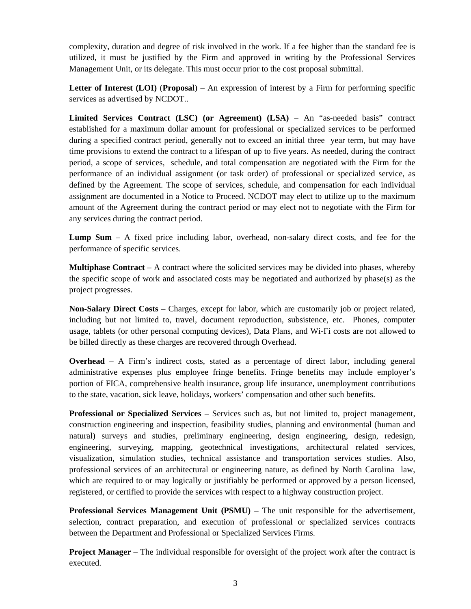complexity, duration and degree of risk involved in the work. If a fee higher than the standard fee is utilized, it must be justified by the Firm and approved in writing by the Professional Services Management Unit, or its delegate. This must occur prior to the cost proposal submittal.

**Letter of Interest (LOI)** (**Proposal**) – An expression of interest by a Firm for performing specific services as advertised by NCDOT..

**Limited Services Contract (LSC) (or Agreement) (LSA)** – An "as-needed basis" contract established for a maximum dollar amount for professional or specialized services to be performed during a specified contract period, generally not to exceed an initial three year term, but may have time provisions to extend the contract to a lifespan of up to five years. As needed, during the contract period, a scope of services, schedule, and total compensation are negotiated with the Firm for the performance of an individual assignment (or task order) of professional or specialized service, as defined by the Agreement. The scope of services, schedule, and compensation for each individual assignment are documented in a Notice to Proceed. NCDOT may elect to utilize up to the maximum amount of the Agreement during the contract period or may elect not to negotiate with the Firm for any services during the contract period.

**Lump Sum** – A fixed price including labor, overhead, non-salary direct costs, and fee for the performance of specific services.

**Multiphase Contract** – A contract where the solicited services may be divided into phases, whereby the specific scope of work and associated costs may be negotiated and authorized by phase(s) as the project progresses.

**Non-Salary Direct Costs** – Charges, except for labor, which are customarily job or project related, including but not limited to, travel, document reproduction, subsistence, etc. Phones, computer usage, tablets (or other personal computing devices), Data Plans, and Wi-Fi costs are not allowed to be billed directly as these charges are recovered through Overhead.

**Overhead** – A Firm's indirect costs, stated as a percentage of direct labor, including general administrative expenses plus employee fringe benefits. Fringe benefits may include employer's portion of FICA, comprehensive health insurance, group life insurance, unemployment contributions to the state, vacation, sick leave, holidays, workers' compensation and other such benefits.

**Professional or Specialized Services** – Services such as, but not limited to, project management, construction engineering and inspection, feasibility studies, planning and environmental (human and natural) surveys and studies, preliminary engineering, design engineering, design, redesign, engineering, surveying, mapping, geotechnical investigations, architectural related services, visualization, simulation studies, technical assistance and transportation services studies. Also, professional services of an architectural or engineering nature, as defined by North Carolina law, which are required to or may logically or justifiably be performed or approved by a person licensed, registered, or certified to provide the services with respect to a highway construction project.

**Professional Services Management Unit (PSMU)** – The unit responsible for the advertisement, selection, contract preparation, and execution of professional or specialized services contracts between the Department and Professional or Specialized Services Firms.

**Project Manager** – The individual responsible for oversight of the project work after the contract is executed.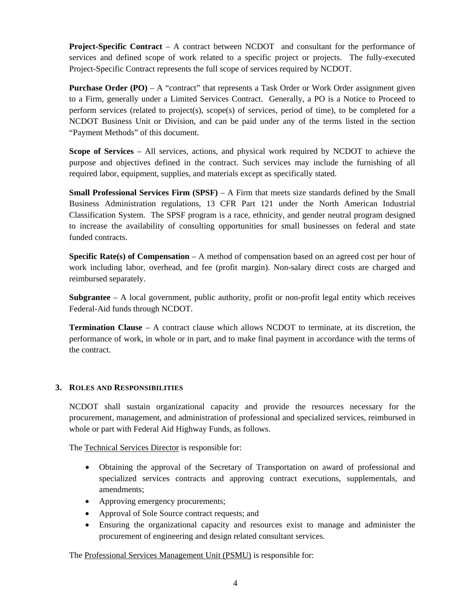**Project-Specific Contract** – A contract between NCDOT and consultant for the performance of services and defined scope of work related to a specific project or projects. The fully-executed Project-Specific Contract represents the full scope of services required by NCDOT.

**Purchase Order (PO)** – A "contract" that represents a Task Order or Work Order assignment given to a Firm, generally under a Limited Services Contract. Generally, a PO is a Notice to Proceed to perform services (related to project(s), scope(s) of services, period of time), to be completed for a NCDOT Business Unit or Division, and can be paid under any of the terms listed in the section "Payment Methods" of this document.

**Scope of Services** – All services, actions, and physical work required by NCDOT to achieve the purpose and objectives defined in the contract. Such services may include the furnishing of all required labor, equipment, supplies, and materials except as specifically stated.

**Small Professional Services Firm (SPSF)** – A Firm that meets size standards defined by the Small Business Administration regulations, 13 CFR Part 121 under the North American Industrial Classification System. The SPSF program is a race, ethnicity, and gender neutral program designed to increase the availability of consulting opportunities for small businesses on federal and state funded contracts.

**Specific Rate(s) of Compensation** – A method of compensation based on an agreed cost per hour of work including labor, overhead, and fee (profit margin). Non-salary direct costs are charged and reimbursed separately.

**Subgrantee**  $- A$  local government, public authority, profit or non-profit legal entity which receives Federal-Aid funds through NCDOT.

**Termination Clause** – A contract clause which allows NCDOT to terminate, at its discretion, the performance of work, in whole or in part, and to make final payment in accordance with the terms of the contract.

# **3. ROLES AND RESPONSIBILITIES**

NCDOT shall sustain organizational capacity and provide the resources necessary for the procurement, management, and administration of professional and specialized services, reimbursed in whole or part with Federal Aid Highway Funds, as follows.

The Technical Services Director is responsible for:

- Obtaining the approval of the Secretary of Transportation on award of professional and specialized services contracts and approving contract executions, supplementals, and amendments;
- Approving emergency procurements;
- Approval of Sole Source contract requests; and
- Ensuring the organizational capacity and resources exist to manage and administer the procurement of engineering and design related consultant services.

The Professional Services Management Unit (PSMU) is responsible for: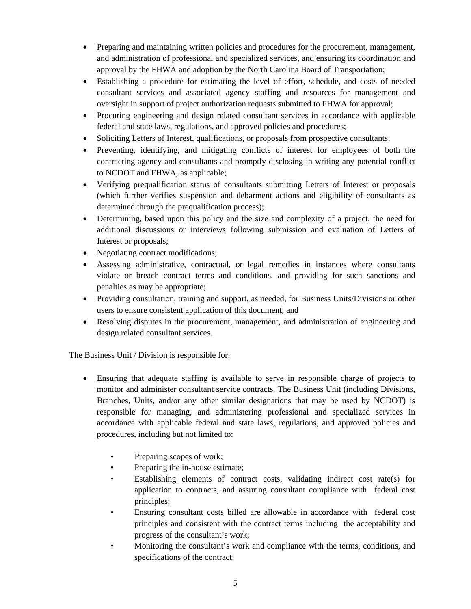- Preparing and maintaining written policies and procedures for the procurement, management, and administration of professional and specialized services, and ensuring its coordination and approval by the FHWA and adoption by the North Carolina Board of Transportation;
- Establishing a procedure for estimating the level of effort, schedule, and costs of needed consultant services and associated agency staffing and resources for management and oversight in support of project authorization requests submitted to FHWA for approval;
- Procuring engineering and design related consultant services in accordance with applicable federal and state laws, regulations, and approved policies and procedures;
- Soliciting Letters of Interest, qualifications, or proposals from prospective consultants;
- Preventing, identifying, and mitigating conflicts of interest for employees of both the contracting agency and consultants and promptly disclosing in writing any potential conflict to NCDOT and FHWA, as applicable;
- Verifying prequalification status of consultants submitting Letters of Interest or proposals (which further verifies suspension and debarment actions and eligibility of consultants as determined through the prequalification process);
- Determining, based upon this policy and the size and complexity of a project, the need for additional discussions or interviews following submission and evaluation of Letters of Interest or proposals;
- Negotiating contract modifications;
- Assessing administrative, contractual, or legal remedies in instances where consultants violate or breach contract terms and conditions, and providing for such sanctions and penalties as may be appropriate;
- Providing consultation, training and support, as needed, for Business Units/Divisions or other users to ensure consistent application of this document; and
- Resolving disputes in the procurement, management, and administration of engineering and design related consultant services.

The Business Unit / Division is responsible for:

- Ensuring that adequate staffing is available to serve in responsible charge of projects to monitor and administer consultant service contracts. The Business Unit (including Divisions, Branches, Units, and/or any other similar designations that may be used by NCDOT) is responsible for managing, and administering professional and specialized services in accordance with applicable federal and state laws, regulations, and approved policies and procedures, including but not limited to:
	- Preparing scopes of work;
	- Preparing the in-house estimate;
	- Establishing elements of contract costs, validating indirect cost rate(s) for application to contracts, and assuring consultant compliance with federal cost principles;
	- Ensuring consultant costs billed are allowable in accordance with federal cost principles and consistent with the contract terms including the acceptability and progress of the consultant's work;
	- Monitoring the consultant's work and compliance with the terms, conditions, and specifications of the contract;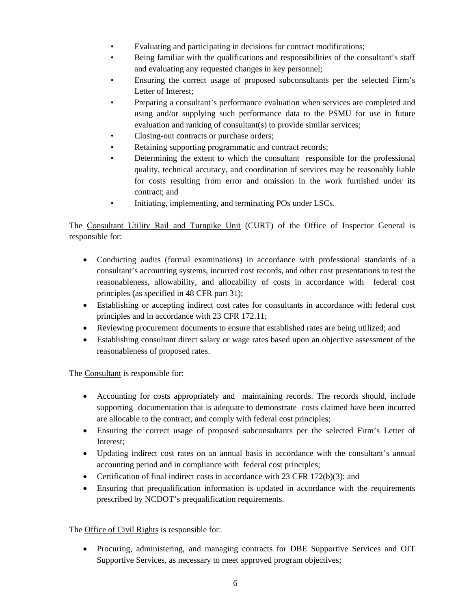- Evaluating and participating in decisions for contract modifications;
- Being familiar with the qualifications and responsibilities of the consultant's staff and evaluating any requested changes in key personnel;
- Ensuring the correct usage of proposed subconsultants per the selected Firm's Letter of Interest;
- Preparing a consultant's performance evaluation when services are completed and using and/or supplying such performance data to the PSMU for use in future evaluation and ranking of consultant(s) to provide similar services;
- Closing-out contracts or purchase orders;
- Retaining supporting programmatic and contract records;
- Determining the extent to which the consultant responsible for the professional quality, technical accuracy, and coordination of services may be reasonably liable for costs resulting from error and omission in the work furnished under its contract; and
- Initiating, implementing, and terminating POs under LSCs.

The Consultant Utility Rail and Turnpike Unit (CURT) of the Office of Inspector General is responsible for:

- Conducting audits (formal examinations) in accordance with professional standards of a consultant's accounting systems, incurred cost records, and other cost presentations to test the reasonableness, allowability, and allocability of costs in accordance with federal cost principles (as specified in 48 CFR part 31);
- Establishing or accepting indirect cost rates for consultants in accordance with federal cost principles and in accordance with 23 CFR 172.11;
- Reviewing procurement documents to ensure that established rates are being utilized; and
- Establishing consultant direct salary or wage rates based upon an objective assessment of the reasonableness of proposed rates.

The Consultant is responsible for:

- Accounting for costs appropriately and maintaining records. The records should, include supporting documentation that is adequate to demonstrate costs claimed have been incurred are allocable to the contract, and comply with federal cost principles;
- Ensuring the correct usage of proposed subconsultants per the selected Firm's Letter of Interest;
- Updating indirect cost rates on an annual basis in accordance with the consultant's annual accounting period and in compliance with federal cost principles;
- Certification of final indirect costs in accordance with  $23$  CFR 172(b)(3); and
- Ensuring that prequalification information is updated in accordance with the requirements prescribed by NCDOT's prequalification requirements.

The Office of Civil Rights is responsible for:

 Procuring, administering, and managing contracts for DBE Supportive Services and OJT Supportive Services, as necessary to meet approved program objectives;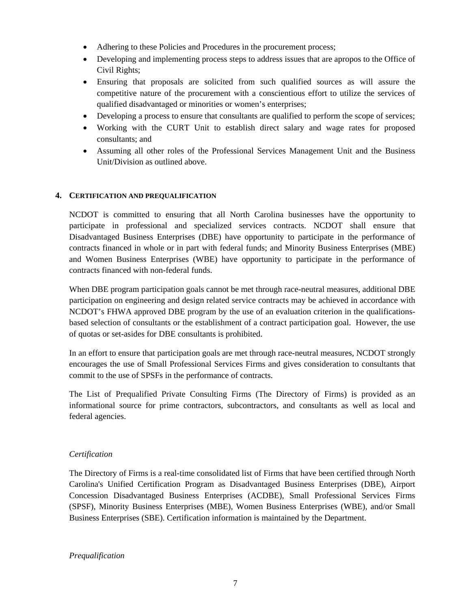- Adhering to these Policies and Procedures in the procurement process;
- Developing and implementing process steps to address issues that are apropos to the Office of Civil Rights;
- Ensuring that proposals are solicited from such qualified sources as will assure the competitive nature of the procurement with a conscientious effort to utilize the services of qualified disadvantaged or minorities or women's enterprises;
- Developing a process to ensure that consultants are qualified to perform the scope of services;
- Working with the CURT Unit to establish direct salary and wage rates for proposed consultants; and
- Assuming all other roles of the Professional Services Management Unit and the Business Unit/Division as outlined above.

# **4. CERTIFICATION AND PREQUALIFICATION**

NCDOT is committed to ensuring that all North Carolina businesses have the opportunity to participate in professional and specialized services contracts. NCDOT shall ensure that Disadvantaged Business Enterprises (DBE) have opportunity to participate in the performance of contracts financed in whole or in part with federal funds; and Minority Business Enterprises (MBE) and Women Business Enterprises (WBE) have opportunity to participate in the performance of contracts financed with non-federal funds.

When DBE program participation goals cannot be met through race-neutral measures, additional DBE participation on engineering and design related service contracts may be achieved in accordance with NCDOT's FHWA approved DBE program by the use of an evaluation criterion in the qualificationsbased selection of consultants or the establishment of a contract participation goal. However, the use of quotas or set-asides for DBE consultants is prohibited.

In an effort to ensure that participation goals are met through race-neutral measures, NCDOT strongly encourages the use of Small Professional Services Firms and gives consideration to consultants that commit to the use of SPSFs in the performance of contracts.

The List of Prequalified Private Consulting Firms (The Directory of Firms) is provided as an informational source for prime contractors, subcontractors, and consultants as well as local and federal agencies.

# *Certification*

The Directory of Firms is a real-time consolidated list of Firms that have been certified through North Carolina's Unified Certification Program as Disadvantaged Business Enterprises (DBE), Airport Concession Disadvantaged Business Enterprises (ACDBE), Small Professional Services Firms (SPSF), Minority Business Enterprises (MBE), Women Business Enterprises (WBE), and/or Small Business Enterprises (SBE). Certification information is maintained by the Department.

#### *Prequalification*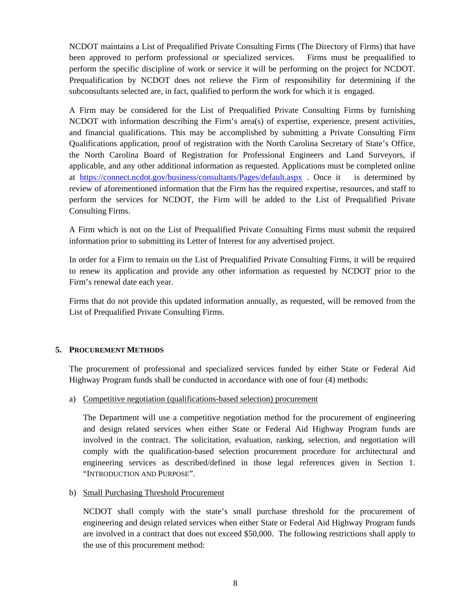NCDOT maintains a List of Prequalified Private Consulting Firms (The Directory of Firms) that have been approved to perform professional or specialized services. Firms must be prequalified to perform the specific discipline of work or service it will be performing on the project for NCDOT. Prequalification by NCDOT does not relieve the Firm of responsibility for determining if the subconsultants selected are, in fact, qualified to perform the work for which it is engaged.

A Firm may be considered for the List of Prequalified Private Consulting Firms by furnishing NCDOT with information describing the Firm's area(s) of expertise, experience, present activities, and financial qualifications. This may be accomplished by submitting a Private Consulting Firm Qualifications application, proof of registration with the North Carolina Secretary of State's Office, the North Carolina Board of Registration for Professional Engineers and Land Surveyors, if applicable, and any other additional information as requested. Applications must be completed online at https://connect.ncdot.gov/business/consultants/Pages/default.aspx . Once it is determined by review of aforementioned information that the Firm has the required expertise, resources, and staff to perform the services for NCDOT, the Firm will be added to the List of Prequalified Private Consulting Firms.

A Firm which is not on the List of Prequalified Private Consulting Firms must submit the required information prior to submitting its Letter of Interest for any advertised project.

In order for a Firm to remain on the List of Prequalified Private Consulting Firms, it will be required to renew its application and provide any other information as requested by NCDOT prior to the Firm's renewal date each year.

Firms that do not provide this updated information annually, as requested, will be removed from the List of Prequalified Private Consulting Firms.

# **5. PROCUREMENT METHODS**

The procurement of professional and specialized services funded by either State or Federal Aid Highway Program funds shall be conducted in accordance with one of four (4) methods:

a) Competitive negotiation (qualifications-based selection) procurement

The Department will use a competitive negotiation method for the procurement of engineering and design related services when either State or Federal Aid Highway Program funds are involved in the contract. The solicitation, evaluation, ranking, selection, and negotiation will comply with the qualification-based selection procurement procedure for architectural and engineering services as described/defined in those legal references given in Section 1. "INTRODUCTION AND PURPOSE".

#### b) Small Purchasing Threshold Procurement

NCDOT shall comply with the state's small purchase threshold for the procurement of engineering and design related services when either State or Federal Aid Highway Program funds are involved in a contract that does not exceed \$50,000. The following restrictions shall apply to the use of this procurement method: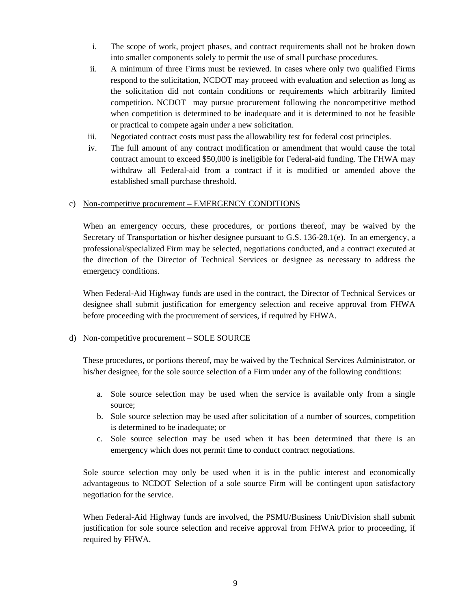- i. The scope of work, project phases, and contract requirements shall not be broken down into smaller components solely to permit the use of small purchase procedures.
- ii. A minimum of three Firms must be reviewed. In cases where only two qualified Firms respond to the solicitation, NCDOT may proceed with evaluation and selection as long as the solicitation did not contain conditions or requirements which arbitrarily limited competition. NCDOT may pursue procurement following the noncompetitive method when competition is determined to be inadequate and it is determined to not be feasible or practical to compete again under a new solicitation.
- iii. Negotiated contract costs must pass the allowability test for federal cost principles.
- iv. The full amount of any contract modification or amendment that would cause the total contract amount to exceed \$50,000 is ineligible for Federal-aid funding. The FHWA may withdraw all Federal-aid from a contract if it is modified or amended above the established small purchase threshold.

#### c) Non-competitive procurement – EMERGENCY CONDITIONS

When an emergency occurs, these procedures, or portions thereof, may be waived by the Secretary of Transportation or his/her designee pursuant to G.S. 136-28.1(e). In an emergency, a professional/specialized Firm may be selected, negotiations conducted, and a contract executed at the direction of the Director of Technical Services or designee as necessary to address the emergency conditions.

When Federal-Aid Highway funds are used in the contract, the Director of Technical Services or designee shall submit justification for emergency selection and receive approval from FHWA before proceeding with the procurement of services, if required by FHWA.

#### d) Non-competitive procurement – SOLE SOURCE

These procedures, or portions thereof, may be waived by the Technical Services Administrator, or his/her designee, for the sole source selection of a Firm under any of the following conditions:

- a. Sole source selection may be used when the service is available only from a single source;
- b. Sole source selection may be used after solicitation of a number of sources, competition is determined to be inadequate; or
- c. Sole source selection may be used when it has been determined that there is an emergency which does not permit time to conduct contract negotiations.

Sole source selection may only be used when it is in the public interest and economically advantageous to NCDOT Selection of a sole source Firm will be contingent upon satisfactory negotiation for the service.

When Federal-Aid Highway funds are involved, the PSMU/Business Unit/Division shall submit justification for sole source selection and receive approval from FHWA prior to proceeding, if required by FHWA.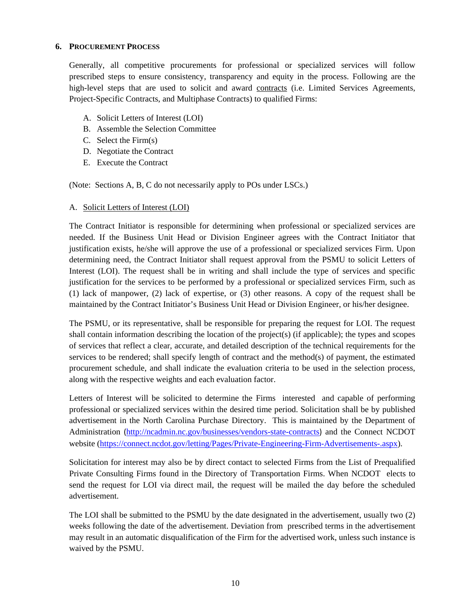#### **6. PROCUREMENT PROCESS**

Generally, all competitive procurements for professional or specialized services will follow prescribed steps to ensure consistency, transparency and equity in the process. Following are the high-level steps that are used to solicit and award contracts (i.e. Limited Services Agreements, Project-Specific Contracts, and Multiphase Contracts) to qualified Firms:

- A. Solicit Letters of Interest (LOI)
- B. Assemble the Selection Committee
- C. Select the Firm(s)
- D. Negotiate the Contract
- E. Execute the Contract

(Note: Sections A, B, C do not necessarily apply to POs under LSCs.)

#### A. Solicit Letters of Interest (LOI)

The Contract Initiator is responsible for determining when professional or specialized services are needed. If the Business Unit Head or Division Engineer agrees with the Contract Initiator that justification exists, he/she will approve the use of a professional or specialized services Firm. Upon determining need, the Contract Initiator shall request approval from the PSMU to solicit Letters of Interest (LOI). The request shall be in writing and shall include the type of services and specific justification for the services to be performed by a professional or specialized services Firm, such as (1) lack of manpower, (2) lack of expertise, or (3) other reasons. A copy of the request shall be maintained by the Contract Initiator's Business Unit Head or Division Engineer, or his/her designee.

The PSMU, or its representative, shall be responsible for preparing the request for LOI. The request shall contain information describing the location of the project(s) (if applicable); the types and scopes of services that reflect a clear, accurate, and detailed description of the technical requirements for the services to be rendered; shall specify length of contract and the method(s) of payment, the estimated procurement schedule, and shall indicate the evaluation criteria to be used in the selection process, along with the respective weights and each evaluation factor.

Letters of Interest will be solicited to determine the Firms interested and capable of performing professional or specialized services within the desired time period. Solicitation shall be by published advertisement in the North Carolina Purchase Directory. This is maintained by the Department of Administration (http://ncadmin.nc.gov/businesses/vendors-state-contracts) and the Connect NCDOT website (https://connect.ncdot.gov/letting/Pages/Private-Engineering-Firm-Advertisements-.aspx).

Solicitation for interest may also be by direct contact to selected Firms from the List of Prequalified Private Consulting Firms found in the Directory of Transportation Firms. When NCDOT elects to send the request for LOI via direct mail, the request will be mailed the day before the scheduled advertisement.

The LOI shall be submitted to the PSMU by the date designated in the advertisement, usually two (2) weeks following the date of the advertisement. Deviation from prescribed terms in the advertisement may result in an automatic disqualification of the Firm for the advertised work, unless such instance is waived by the PSMU.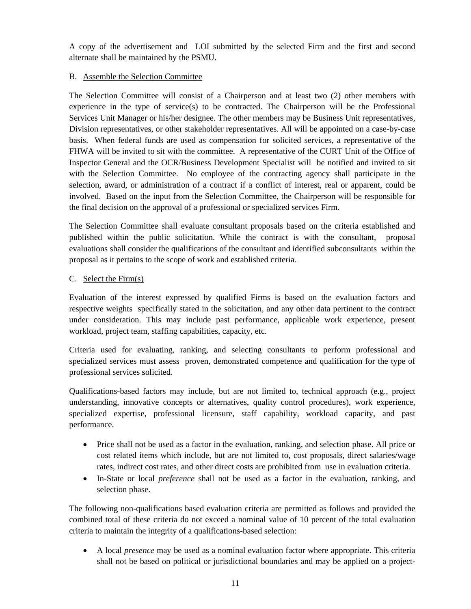A copy of the advertisement and LOI submitted by the selected Firm and the first and second alternate shall be maintained by the PSMU.

# B. Assemble the Selection Committee

The Selection Committee will consist of a Chairperson and at least two (2) other members with experience in the type of service(s) to be contracted. The Chairperson will be the Professional Services Unit Manager or his/her designee. The other members may be Business Unit representatives, Division representatives, or other stakeholder representatives. All will be appointed on a case-by-case basis. When federal funds are used as compensation for solicited services, a representative of the FHWA will be invited to sit with the committee. A representative of the CURT Unit of the Office of Inspector General and the OCR/Business Development Specialist will be notified and invited to sit with the Selection Committee. No employee of the contracting agency shall participate in the selection, award, or administration of a contract if a conflict of interest, real or apparent, could be involved. Based on the input from the Selection Committee, the Chairperson will be responsible for the final decision on the approval of a professional or specialized services Firm.

The Selection Committee shall evaluate consultant proposals based on the criteria established and published within the public solicitation. While the contract is with the consultant, proposal evaluations shall consider the qualifications of the consultant and identified subconsultants within the proposal as it pertains to the scope of work and established criteria.

# C. Select the Firm(s)

Evaluation of the interest expressed by qualified Firms is based on the evaluation factors and respective weights specifically stated in the solicitation, and any other data pertinent to the contract under consideration. This may include past performance, applicable work experience, present workload, project team, staffing capabilities, capacity, etc.

Criteria used for evaluating, ranking, and selecting consultants to perform professional and specialized services must assess proven, demonstrated competence and qualification for the type of professional services solicited.

Qualifications-based factors may include, but are not limited to, technical approach (e.g., project understanding, innovative concepts or alternatives, quality control procedures), work experience, specialized expertise, professional licensure, staff capability, workload capacity, and past performance.

- Price shall not be used as a factor in the evaluation, ranking, and selection phase. All price or cost related items which include, but are not limited to, cost proposals, direct salaries/wage rates, indirect cost rates, and other direct costs are prohibited from use in evaluation criteria.
- In-State or local *preference* shall not be used as a factor in the evaluation, ranking, and selection phase.

The following non-qualifications based evaluation criteria are permitted as follows and provided the combined total of these criteria do not exceed a nominal value of 10 percent of the total evaluation criteria to maintain the integrity of a qualifications-based selection:

 A local *presence* may be used as a nominal evaluation factor where appropriate. This criteria shall not be based on political or jurisdictional boundaries and may be applied on a project-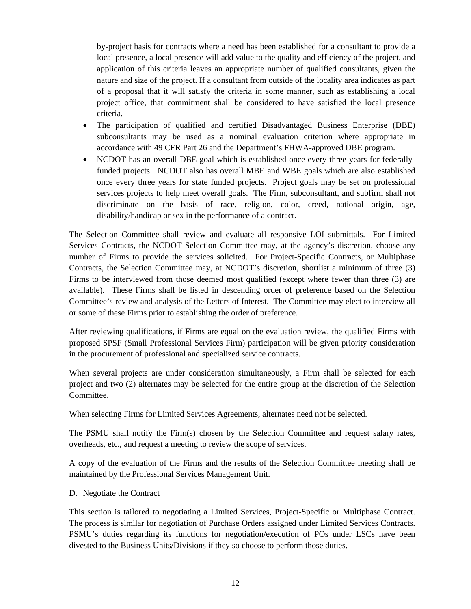by-project basis for contracts where a need has been established for a consultant to provide a local presence, a local presence will add value to the quality and efficiency of the project, and application of this criteria leaves an appropriate number of qualified consultants, given the nature and size of the project. If a consultant from outside of the locality area indicates as part of a proposal that it will satisfy the criteria in some manner, such as establishing a local project office, that commitment shall be considered to have satisfied the local presence criteria.

- The participation of qualified and certified Disadvantaged Business Enterprise (DBE) subconsultants may be used as a nominal evaluation criterion where appropriate in accordance with 49 CFR Part 26 and the Department's FHWA-approved DBE program.
- NCDOT has an overall DBE goal which is established once every three years for federallyfunded projects. NCDOT also has overall MBE and WBE goals which are also established once every three years for state funded projects. Project goals may be set on professional services projects to help meet overall goals. The Firm, subconsultant, and subfirm shall not discriminate on the basis of race, religion, color, creed, national origin, age, disability/handicap or sex in the performance of a contract.

The Selection Committee shall review and evaluate all responsive LOI submittals. For Limited Services Contracts, the NCDOT Selection Committee may, at the agency's discretion, choose any number of Firms to provide the services solicited. For Project-Specific Contracts, or Multiphase Contracts, the Selection Committee may, at NCDOT's discretion, shortlist a minimum of three (3) Firms to be interviewed from those deemed most qualified (except where fewer than three (3) are available). These Firms shall be listed in descending order of preference based on the Selection Committee's review and analysis of the Letters of Interest. The Committee may elect to interview all or some of these Firms prior to establishing the order of preference.

After reviewing qualifications, if Firms are equal on the evaluation review, the qualified Firms with proposed SPSF (Small Professional Services Firm) participation will be given priority consideration in the procurement of professional and specialized service contracts.

When several projects are under consideration simultaneously, a Firm shall be selected for each project and two (2) alternates may be selected for the entire group at the discretion of the Selection Committee.

When selecting Firms for Limited Services Agreements, alternates need not be selected.

The PSMU shall notify the Firm(s) chosen by the Selection Committee and request salary rates, overheads, etc., and request a meeting to review the scope of services.

A copy of the evaluation of the Firms and the results of the Selection Committee meeting shall be maintained by the Professional Services Management Unit.

# D. Negotiate the Contract

This section is tailored to negotiating a Limited Services, Project-Specific or Multiphase Contract. The process is similar for negotiation of Purchase Orders assigned under Limited Services Contracts. PSMU's duties regarding its functions for negotiation/execution of POs under LSCs have been divested to the Business Units/Divisions if they so choose to perform those duties.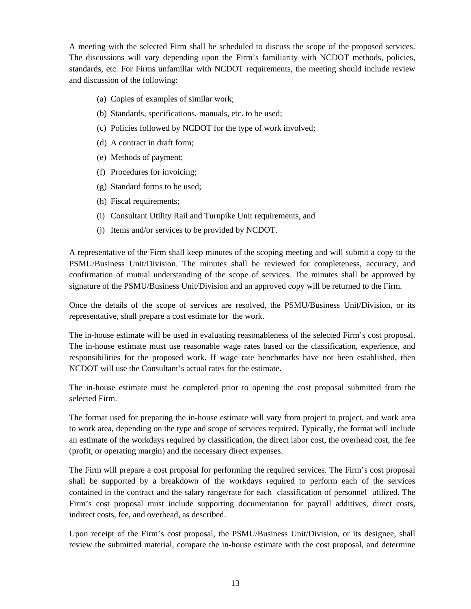A meeting with the selected Firm shall be scheduled to discuss the scope of the proposed services. The discussions will vary depending upon the Firm's familiarity with NCDOT methods, policies, standards, etc. For Firms unfamiliar with NCDOT requirements, the meeting should include review and discussion of the following:

- (a) Copies of examples of similar work;
- (b) Standards, specifications, manuals, etc. to be used;
- (c) Policies followed by NCDOT for the type of work involved;
- (d) A contract in draft form;
- (e) Methods of payment;
- (f) Procedures for invoicing;
- (g) Standard forms to be used;
- (h) Fiscal requirements;
- (i) Consultant Utility Rail and Turnpike Unit requirements, and
- (j) Items and/or services to be provided by NCDOT.

A representative of the Firm shall keep minutes of the scoping meeting and will submit a copy to the PSMU/Business Unit/Division. The minutes shall be reviewed for completeness, accuracy, and confirmation of mutual understanding of the scope of services. The minutes shall be approved by signature of the PSMU/Business Unit/Division and an approved copy will be returned to the Firm.

Once the details of the scope of services are resolved, the PSMU/Business Unit/Division, or its representative, shall prepare a cost estimate for the work.

The in-house estimate will be used in evaluating reasonableness of the selected Firm's cost proposal. The in-house estimate must use reasonable wage rates based on the classification, experience, and responsibilities for the proposed work. If wage rate benchmarks have not been established, then NCDOT will use the Consultant's actual rates for the estimate.

The in-house estimate must be completed prior to opening the cost proposal submitted from the selected Firm.

The format used for preparing the in-house estimate will vary from project to project, and work area to work area, depending on the type and scope of services required. Typically, the format will include an estimate of the workdays required by classification, the direct labor cost, the overhead cost, the fee (profit, or operating margin) and the necessary direct expenses.

The Firm will prepare a cost proposal for performing the required services. The Firm's cost proposal shall be supported by a breakdown of the workdays required to perform each of the services contained in the contract and the salary range/rate for each classification of personnel utilized. The Firm's cost proposal must include supporting documentation for payroll additives, direct costs, indirect costs, fee, and overhead, as described.

Upon receipt of the Firm's cost proposal, the PSMU/Business Unit/Division, or its designee, shall review the submitted material, compare the in-house estimate with the cost proposal, and determine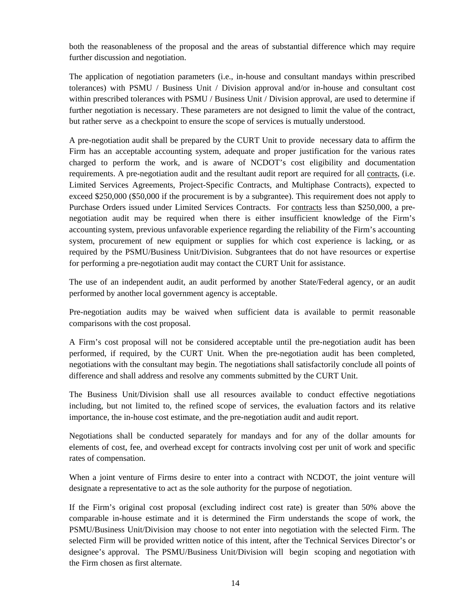both the reasonableness of the proposal and the areas of substantial difference which may require further discussion and negotiation.

The application of negotiation parameters (i.e., in-house and consultant mandays within prescribed tolerances) with PSMU / Business Unit / Division approval and/or in-house and consultant cost within prescribed tolerances with PSMU / Business Unit / Division approval, are used to determine if further negotiation is necessary. These parameters are not designed to limit the value of the contract, but rather serve as a checkpoint to ensure the scope of services is mutually understood.

A pre-negotiation audit shall be prepared by the CURT Unit to provide necessary data to affirm the Firm has an acceptable accounting system, adequate and proper justification for the various rates charged to perform the work, and is aware of NCDOT's cost eligibility and documentation requirements. A pre-negotiation audit and the resultant audit report are required for all contracts, (i.e. Limited Services Agreements, Project-Specific Contracts, and Multiphase Contracts), expected to exceed \$250,000 (\$50,000 if the procurement is by a subgrantee). This requirement does not apply to Purchase Orders issued under Limited Services Contracts. For contracts less than \$250,000, a prenegotiation audit may be required when there is either insufficient knowledge of the Firm's accounting system, previous unfavorable experience regarding the reliability of the Firm's accounting system, procurement of new equipment or supplies for which cost experience is lacking, or as required by the PSMU/Business Unit/Division. Subgrantees that do not have resources or expertise for performing a pre-negotiation audit may contact the CURT Unit for assistance.

The use of an independent audit, an audit performed by another State/Federal agency, or an audit performed by another local government agency is acceptable.

Pre-negotiation audits may be waived when sufficient data is available to permit reasonable comparisons with the cost proposal.

A Firm's cost proposal will not be considered acceptable until the pre-negotiation audit has been performed, if required, by the CURT Unit. When the pre-negotiation audit has been completed, negotiations with the consultant may begin. The negotiations shall satisfactorily conclude all points of difference and shall address and resolve any comments submitted by the CURT Unit.

The Business Unit/Division shall use all resources available to conduct effective negotiations including, but not limited to, the refined scope of services, the evaluation factors and its relative importance, the in-house cost estimate, and the pre-negotiation audit and audit report.

Negotiations shall be conducted separately for mandays and for any of the dollar amounts for elements of cost, fee, and overhead except for contracts involving cost per unit of work and specific rates of compensation.

When a joint venture of Firms desire to enter into a contract with NCDOT, the joint venture will designate a representative to act as the sole authority for the purpose of negotiation.

If the Firm's original cost proposal (excluding indirect cost rate) is greater than 50% above the comparable in-house estimate and it is determined the Firm understands the scope of work, the PSMU/Business Unit/Division may choose to not enter into negotiation with the selected Firm. The selected Firm will be provided written notice of this intent, after the Technical Services Director's or designee's approval. The PSMU/Business Unit/Division will begin scoping and negotiation with the Firm chosen as first alternate.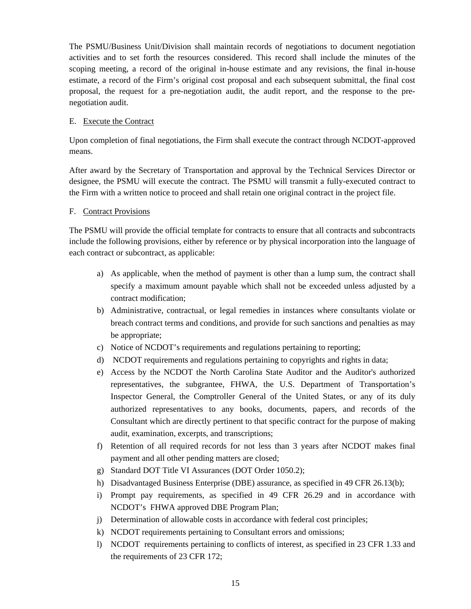The PSMU/Business Unit/Division shall maintain records of negotiations to document negotiation activities and to set forth the resources considered. This record shall include the minutes of the scoping meeting, a record of the original in-house estimate and any revisions, the final in-house estimate, a record of the Firm's original cost proposal and each subsequent submittal, the final cost proposal, the request for a pre-negotiation audit, the audit report, and the response to the prenegotiation audit.

# E. Execute the Contract

Upon completion of final negotiations, the Firm shall execute the contract through NCDOT-approved means.

After award by the Secretary of Transportation and approval by the Technical Services Director or designee, the PSMU will execute the contract. The PSMU will transmit a fully-executed contract to the Firm with a written notice to proceed and shall retain one original contract in the project file.

#### F. Contract Provisions

The PSMU will provide the official template for contracts to ensure that all contracts and subcontracts include the following provisions, either by reference or by physical incorporation into the language of each contract or subcontract, as applicable:

- a) As applicable, when the method of payment is other than a lump sum, the contract shall specify a maximum amount payable which shall not be exceeded unless adjusted by a contract modification;
- b) Administrative, contractual, or legal remedies in instances where consultants violate or breach contract terms and conditions, and provide for such sanctions and penalties as may be appropriate;
- c) Notice of NCDOT's requirements and regulations pertaining to reporting;
- d) NCDOT requirements and regulations pertaining to copyrights and rights in data;
- e) Access by the NCDOT the North Carolina State Auditor and the Auditor's authorized representatives, the subgrantee, FHWA, the U.S. Department of Transportation's Inspector General, the Comptroller General of the United States, or any of its duly authorized representatives to any books, documents, papers, and records of the Consultant which are directly pertinent to that specific contract for the purpose of making audit, examination, excerpts, and transcriptions;
- f) Retention of all required records for not less than 3 years after NCDOT makes final payment and all other pending matters are closed;
- g) Standard DOT Title VI Assurances (DOT Order 1050.2);
- h) Disadvantaged Business Enterprise (DBE) assurance, as specified in 49 CFR 26.13(b);
- i) Prompt pay requirements, as specified in 49 CFR 26.29 and in accordance with NCDOT's FHWA approved DBE Program Plan;
- j) Determination of allowable costs in accordance with federal cost principles;
- k) NCDOT requirements pertaining to Consultant errors and omissions;
- l) NCDOT requirements pertaining to conflicts of interest, as specified in 23 CFR 1.33 and the requirements of 23 CFR 172;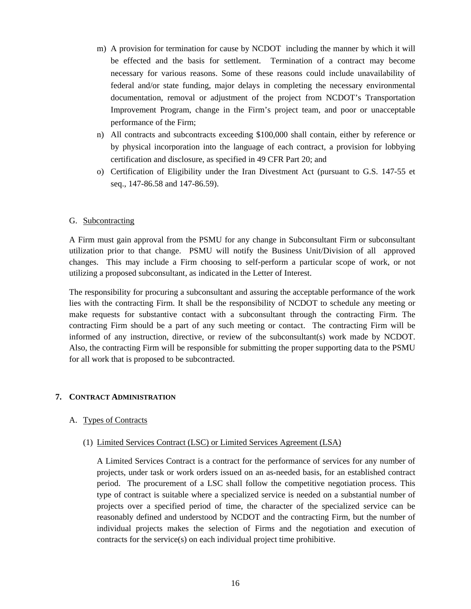- m) A provision for termination for cause by NCDOT including the manner by which it will be effected and the basis for settlement. Termination of a contract may become necessary for various reasons. Some of these reasons could include unavailability of federal and/or state funding, major delays in completing the necessary environmental documentation, removal or adjustment of the project from NCDOT's Transportation Improvement Program, change in the Firm's project team, and poor or unacceptable performance of the Firm;
- n) All contracts and subcontracts exceeding \$100,000 shall contain, either by reference or by physical incorporation into the language of each contract, a provision for lobbying certification and disclosure, as specified in 49 CFR Part 20; and
- o) Certification of Eligibility under the Iran Divestment Act (pursuant to G.S. 147-55 et seq., 147-86.58 and 147-86.59).

#### G. Subcontracting

A Firm must gain approval from the PSMU for any change in Subconsultant Firm or subconsultant utilization prior to that change. PSMU will notify the Business Unit/Division of all approved changes. This may include a Firm choosing to self-perform a particular scope of work, or not utilizing a proposed subconsultant, as indicated in the Letter of Interest.

The responsibility for procuring a subconsultant and assuring the acceptable performance of the work lies with the contracting Firm. It shall be the responsibility of NCDOT to schedule any meeting or make requests for substantive contact with a subconsultant through the contracting Firm. The contracting Firm should be a part of any such meeting or contact. The contracting Firm will be informed of any instruction, directive, or review of the subconsultant(s) work made by NCDOT. Also, the contracting Firm will be responsible for submitting the proper supporting data to the PSMU for all work that is proposed to be subcontracted.

#### **7. CONTRACT ADMINISTRATION**

#### A. Types of Contracts

#### (1) Limited Services Contract (LSC) or Limited Services Agreement (LSA)

A Limited Services Contract is a contract for the performance of services for any number of projects, under task or work orders issued on an as-needed basis, for an established contract period. The procurement of a LSC shall follow the competitive negotiation process. This type of contract is suitable where a specialized service is needed on a substantial number of projects over a specified period of time, the character of the specialized service can be reasonably defined and understood by NCDOT and the contracting Firm, but the number of individual projects makes the selection of Firms and the negotiation and execution of contracts for the service(s) on each individual project time prohibitive.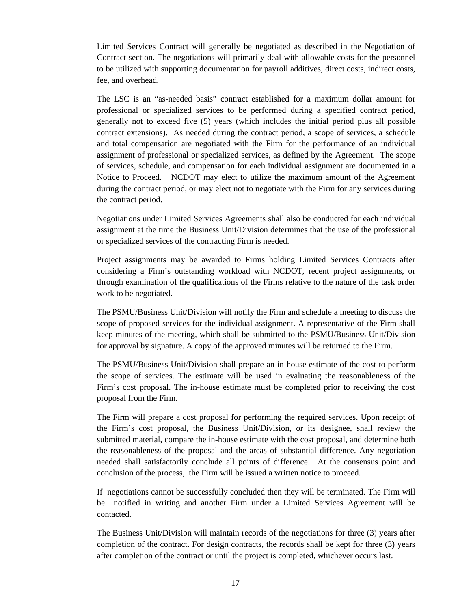Limited Services Contract will generally be negotiated as described in the Negotiation of Contract section. The negotiations will primarily deal with allowable costs for the personnel to be utilized with supporting documentation for payroll additives, direct costs, indirect costs, fee, and overhead.

The LSC is an "as-needed basis" contract established for a maximum dollar amount for professional or specialized services to be performed during a specified contract period, generally not to exceed five (5) years (which includes the initial period plus all possible contract extensions). As needed during the contract period, a scope of services, a schedule and total compensation are negotiated with the Firm for the performance of an individual assignment of professional or specialized services, as defined by the Agreement. The scope of services, schedule, and compensation for each individual assignment are documented in a Notice to Proceed. NCDOT may elect to utilize the maximum amount of the Agreement during the contract period, or may elect not to negotiate with the Firm for any services during the contract period.

Negotiations under Limited Services Agreements shall also be conducted for each individual assignment at the time the Business Unit/Division determines that the use of the professional or specialized services of the contracting Firm is needed.

Project assignments may be awarded to Firms holding Limited Services Contracts after considering a Firm's outstanding workload with NCDOT, recent project assignments, or through examination of the qualifications of the Firms relative to the nature of the task order work to be negotiated.

The PSMU/Business Unit/Division will notify the Firm and schedule a meeting to discuss the scope of proposed services for the individual assignment. A representative of the Firm shall keep minutes of the meeting, which shall be submitted to the PSMU/Business Unit/Division for approval by signature. A copy of the approved minutes will be returned to the Firm.

The PSMU/Business Unit/Division shall prepare an in-house estimate of the cost to perform the scope of services. The estimate will be used in evaluating the reasonableness of the Firm's cost proposal. The in-house estimate must be completed prior to receiving the cost proposal from the Firm.

The Firm will prepare a cost proposal for performing the required services. Upon receipt of the Firm's cost proposal, the Business Unit/Division, or its designee, shall review the submitted material, compare the in-house estimate with the cost proposal, and determine both the reasonableness of the proposal and the areas of substantial difference. Any negotiation needed shall satisfactorily conclude all points of difference. At the consensus point and conclusion of the process, the Firm will be issued a written notice to proceed.

If negotiations cannot be successfully concluded then they will be terminated. The Firm will be notified in writing and another Firm under a Limited Services Agreement will be contacted.

The Business Unit/Division will maintain records of the negotiations for three (3) years after completion of the contract. For design contracts, the records shall be kept for three (3) years after completion of the contract or until the project is completed, whichever occurs last.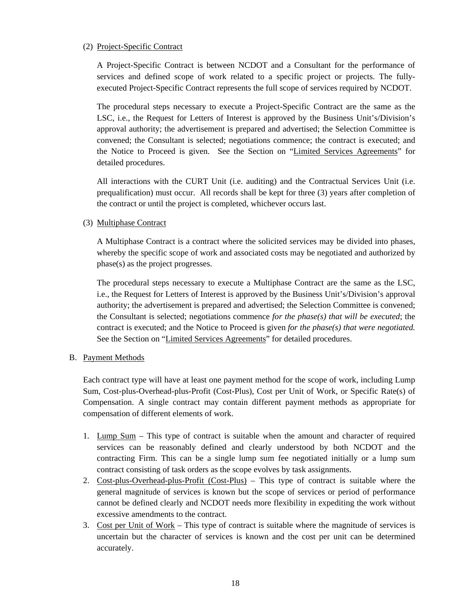# (2) Project-Specific Contract

A Project-Specific Contract is between NCDOT and a Consultant for the performance of services and defined scope of work related to a specific project or projects. The fullyexecuted Project-Specific Contract represents the full scope of services required by NCDOT.

The procedural steps necessary to execute a Project-Specific Contract are the same as the LSC, i.e., the Request for Letters of Interest is approved by the Business Unit's/Division's approval authority; the advertisement is prepared and advertised; the Selection Committee is convened; the Consultant is selected; negotiations commence; the contract is executed; and the Notice to Proceed is given. See the Section on "Limited Services Agreements" for detailed procedures.

All interactions with the CURT Unit (i.e. auditing) and the Contractual Services Unit (i.e. prequalification) must occur. All records shall be kept for three (3) years after completion of the contract or until the project is completed, whichever occurs last.

# (3) Multiphase Contract

A Multiphase Contract is a contract where the solicited services may be divided into phases, whereby the specific scope of work and associated costs may be negotiated and authorized by phase(s) as the project progresses.

The procedural steps necessary to execute a Multiphase Contract are the same as the LSC, i.e., the Request for Letters of Interest is approved by the Business Unit's/Division's approval authority; the advertisement is prepared and advertised; the Selection Committee is convened; the Consultant is selected; negotiations commence *for the phase(s) that will be executed*; the contract is executed; and the Notice to Proceed is given *for the phase(s) that were negotiated.*  See the Section on "Limited Services Agreements" for detailed procedures.

# B. Payment Methods

Each contract type will have at least one payment method for the scope of work, including Lump Sum, Cost-plus-Overhead-plus-Profit (Cost-Plus), Cost per Unit of Work, or Specific Rate(s) of Compensation. A single contract may contain different payment methods as appropriate for compensation of different elements of work.

- 1. Lump Sum This type of contract is suitable when the amount and character of required services can be reasonably defined and clearly understood by both NCDOT and the contracting Firm. This can be a single lump sum fee negotiated initially or a lump sum contract consisting of task orders as the scope evolves by task assignments.
- 2. Cost-plus-Overhead-plus-Profit (Cost-Plus) This type of contract is suitable where the general magnitude of services is known but the scope of services or period of performance cannot be defined clearly and NCDOT needs more flexibility in expediting the work without excessive amendments to the contract.
- 3. Cost per Unit of Work This type of contract is suitable where the magnitude of services is uncertain but the character of services is known and the cost per unit can be determined accurately.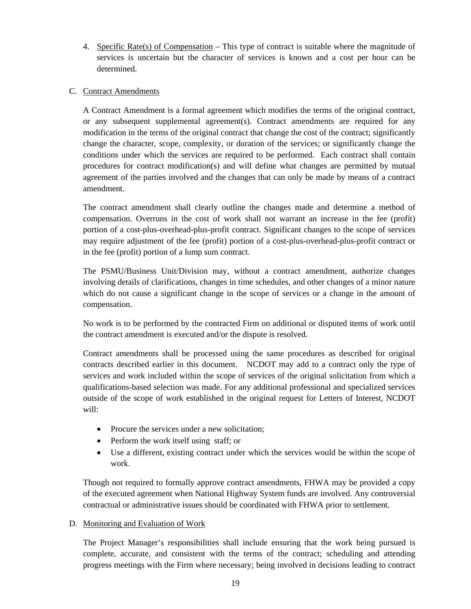4. Specific Rate(s) of Compensation – This type of contract is suitable where the magnitude of services is uncertain but the character of services is known and a cost per hour can be determined.

# C. Contract Amendments

A Contract Amendment is a formal agreement which modifies the terms of the original contract, or any subsequent supplemental agreement(s). Contract amendments are required for any modification in the terms of the original contract that change the cost of the contract; significantly change the character, scope, complexity, or duration of the services; or significantly change the conditions under which the services are required to be performed. Each contract shall contain procedures for contract modification(s) and will define what changes are permitted by mutual agreement of the parties involved and the changes that can only be made by means of a contract amendment.

The contract amendment shall clearly outline the changes made and determine a method of compensation. Overruns in the cost of work shall not warrant an increase in the fee (profit) portion of a cost-plus-overhead-plus-profit contract. Significant changes to the scope of services may require adjustment of the fee (profit) portion of a cost-plus-overhead-plus-profit contract or in the fee (profit) portion of a lump sum contract.

The PSMU/Business Unit/Division may, without a contract amendment, authorize changes involving details of clarifications, changes in time schedules, and other changes of a minor nature which do not cause a significant change in the scope of services or a change in the amount of compensation.

No work is to be performed by the contracted Firm on additional or disputed items of work until the contract amendment is executed and/or the dispute is resolved.

Contract amendments shall be processed using the same procedures as described for original contracts described earlier in this document. NCDOT may add to a contract only the type of services and work included within the scope of services of the original solicitation from which a qualifications-based selection was made. For any additional professional and specialized services outside of the scope of work established in the original request for Letters of Interest, NCDOT will:

- Procure the services under a new solicitation:
- Perform the work itself using staff; or
- Use a different, existing contract under which the services would be within the scope of work.

Though not required to formally approve contract amendments, FHWA may be provided a copy of the executed agreement when National Highway System funds are involved. Any controversial contractual or administrative issues should be coordinated with FHWA prior to settlement.

# D. Monitoring and Evaluation of Work

The Project Manager's responsibilities shall include ensuring that the work being pursued is complete, accurate, and consistent with the terms of the contract; scheduling and attending progress meetings with the Firm where necessary; being involved in decisions leading to contract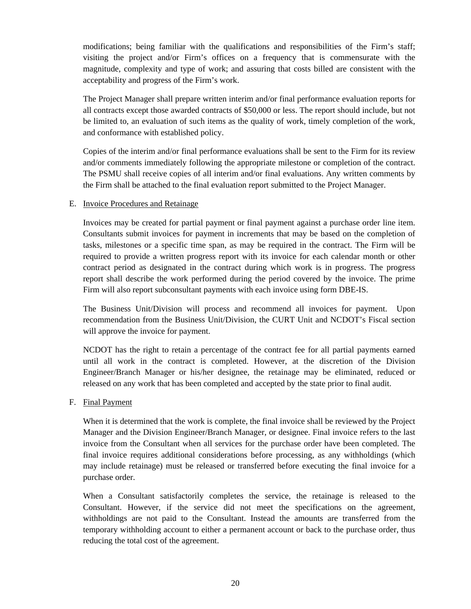modifications; being familiar with the qualifications and responsibilities of the Firm's staff; visiting the project and/or Firm's offices on a frequency that is commensurate with the magnitude, complexity and type of work; and assuring that costs billed are consistent with the acceptability and progress of the Firm's work.

The Project Manager shall prepare written interim and/or final performance evaluation reports for all contracts except those awarded contracts of \$50,000 or less. The report should include, but not be limited to, an evaluation of such items as the quality of work, timely completion of the work, and conformance with established policy.

Copies of the interim and/or final performance evaluations shall be sent to the Firm for its review and/or comments immediately following the appropriate milestone or completion of the contract. The PSMU shall receive copies of all interim and/or final evaluations. Any written comments by the Firm shall be attached to the final evaluation report submitted to the Project Manager.

#### E. Invoice Procedures and Retainage

Invoices may be created for partial payment or final payment against a purchase order line item. Consultants submit invoices for payment in increments that may be based on the completion of tasks, milestones or a specific time span, as may be required in the contract. The Firm will be required to provide a written progress report with its invoice for each calendar month or other contract period as designated in the contract during which work is in progress. The progress report shall describe the work performed during the period covered by the invoice. The prime Firm will also report subconsultant payments with each invoice using form DBE-IS.

The Business Unit/Division will process and recommend all invoices for payment. Upon recommendation from the Business Unit/Division, the CURT Unit and NCDOT's Fiscal section will approve the invoice for payment.

NCDOT has the right to retain a percentage of the contract fee for all partial payments earned until all work in the contract is completed. However, at the discretion of the Division Engineer/Branch Manager or his/her designee, the retainage may be eliminated, reduced or released on any work that has been completed and accepted by the state prior to final audit.

#### F. Final Payment

When it is determined that the work is complete, the final invoice shall be reviewed by the Project Manager and the Division Engineer/Branch Manager, or designee. Final invoice refers to the last invoice from the Consultant when all services for the purchase order have been completed. The final invoice requires additional considerations before processing, as any withholdings (which may include retainage) must be released or transferred before executing the final invoice for a purchase order.

When a Consultant satisfactorily completes the service, the retainage is released to the Consultant. However, if the service did not meet the specifications on the agreement, withholdings are not paid to the Consultant. Instead the amounts are transferred from the temporary withholding account to either a permanent account or back to the purchase order, thus reducing the total cost of the agreement.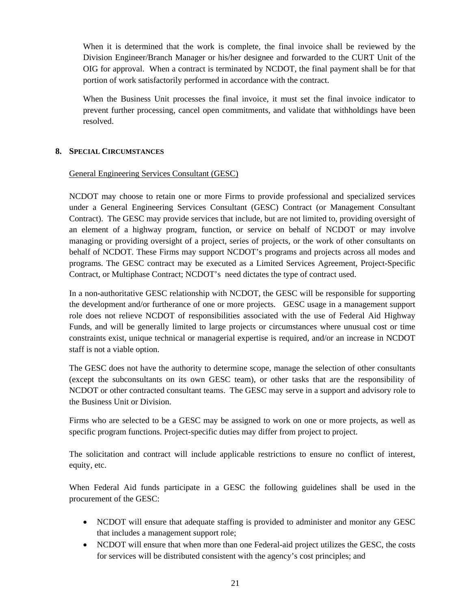When it is determined that the work is complete, the final invoice shall be reviewed by the Division Engineer/Branch Manager or his/her designee and forwarded to the CURT Unit of the OIG for approval. When a contract is terminated by NCDOT, the final payment shall be for that portion of work satisfactorily performed in accordance with the contract.

When the Business Unit processes the final invoice, it must set the final invoice indicator to prevent further processing, cancel open commitments, and validate that withholdings have been resolved.

# **8. SPECIAL CIRCUMSTANCES**

# General Engineering Services Consultant (GESC)

NCDOT may choose to retain one or more Firms to provide professional and specialized services under a General Engineering Services Consultant (GESC) Contract (or Management Consultant Contract). The GESC may provide services that include, but are not limited to, providing oversight of an element of a highway program, function, or service on behalf of NCDOT or may involve managing or providing oversight of a project, series of projects, or the work of other consultants on behalf of NCDOT. These Firms may support NCDOT's programs and projects across all modes and programs. The GESC contract may be executed as a Limited Services Agreement, Project-Specific Contract, or Multiphase Contract; NCDOT's need dictates the type of contract used.

In a non-authoritative GESC relationship with NCDOT, the GESC will be responsible for supporting the development and/or furtherance of one or more projects. GESC usage in a management support role does not relieve NCDOT of responsibilities associated with the use of Federal Aid Highway Funds, and will be generally limited to large projects or circumstances where unusual cost or time constraints exist, unique technical or managerial expertise is required, and/or an increase in NCDOT staff is not a viable option.

The GESC does not have the authority to determine scope, manage the selection of other consultants (except the subconsultants on its own GESC team), or other tasks that are the responsibility of NCDOT or other contracted consultant teams. The GESC may serve in a support and advisory role to the Business Unit or Division.

Firms who are selected to be a GESC may be assigned to work on one or more projects, as well as specific program functions. Project-specific duties may differ from project to project.

The solicitation and contract will include applicable restrictions to ensure no conflict of interest, equity, etc.

When Federal Aid funds participate in a GESC the following guidelines shall be used in the procurement of the GESC:

- NCDOT will ensure that adequate staffing is provided to administer and monitor any GESC that includes a management support role;
- NCDOT will ensure that when more than one Federal-aid project utilizes the GESC, the costs for services will be distributed consistent with the agency's cost principles; and